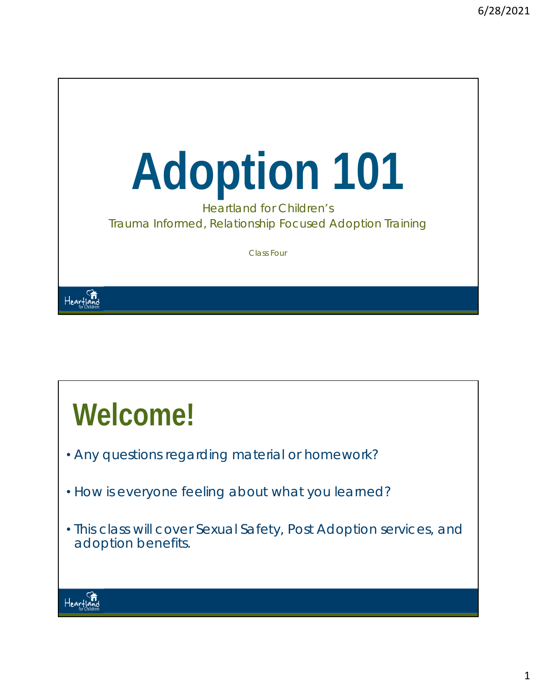

# **Welcome!**

- Any questions regarding material or homework?
- How is everyone feeling about what you learned?
- This class will cover Sexual Safety, Post Adoption services, and adoption benefits.

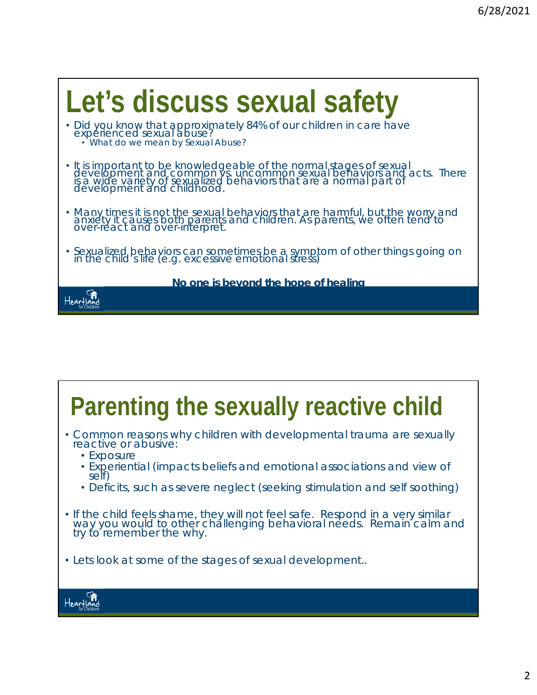

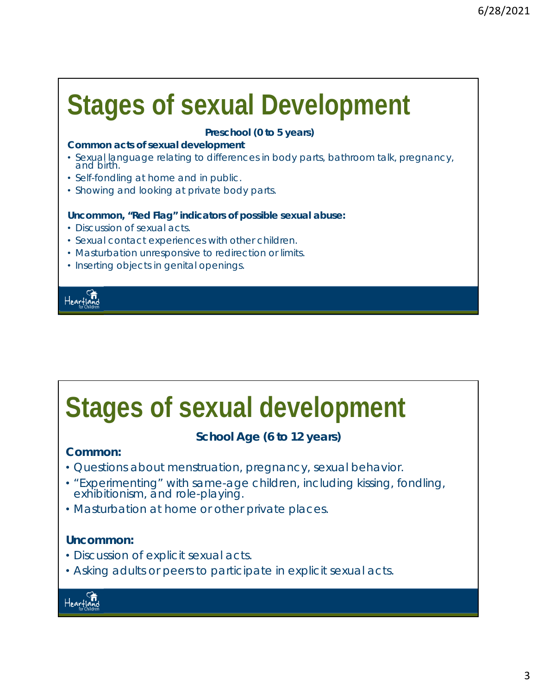# **Stages of sexual Development**

#### **Preschool (0 to 5 years)**

#### **Common acts of sexual development**

- Sexual language relating to differences in body parts, bathroom talk, pregnancy, and birth.
- Self-fondling at home and in public.
- Showing and looking at private body parts.

#### **Uncommon, "Red Flag" indicators of possible sexual abuse:**

- Discussion of sexual acts.
- Sexual contact experiences with other children.
- Masturbation unresponsive to redirection or limits.
- Inserting objects in genital openings.



### **Stages of sexual development**

### **School Age (6 to 12 years)**

### **Common:**

- Questions about menstruation, pregnancy, sexual behavior.
- "Experimenting" with same-age children, including kissing, fondling, exhibitionism, and role-playing.
- Masturbation at home or other private places.

#### **Uncommon:**

- Discussion of explicit sexual acts.
- Asking adults or peers to participate in explicit sexual acts.

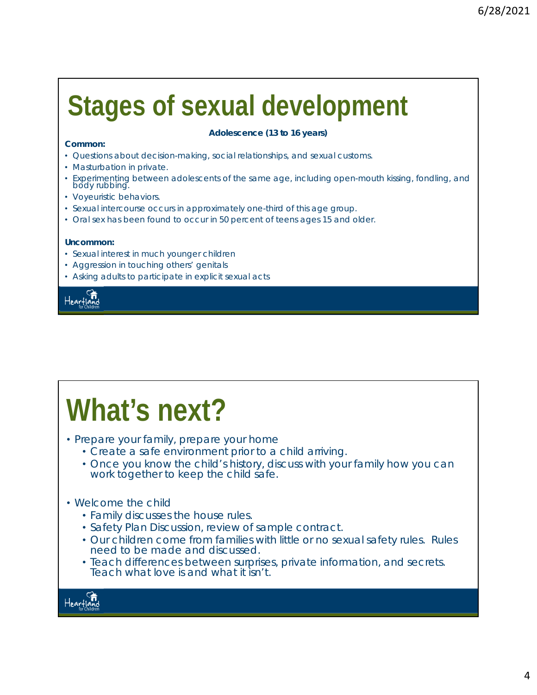# **Stages of sexual development**

#### **Common:**

#### **Adolescence (13 to 16 years)**

- Questions about decision-making, social relationships, and sexual customs.
- Masturbation in private.
- Experimenting between adolescents of the same age, including open-mouth kissing, fondling, and body rubbing.
- Voyeuristic behaviors.
- Sexual intercourse occurs in approximately one-third of this age group.
- Oral sex has been found to occur in 50 percent of teens ages 15 and older.

#### **Uncommon:**

- Sexual interest in much younger children
- Aggression in touching others' genitals
- Asking adults to participate in explicit sexual acts



# **What's next?**

- Prepare your family, prepare your home
	- Create a safe environment prior to a child arriving.
	- Once you know the child's history, discuss with your family how you can work together to keep the child safe.
- Welcome the child
	- Family discusses the house rules.
	- Safety Plan Discussion, review of sample contract.
	- Our children come from families with little or no sexual safety rules. Rules need to be made and discussed.
	- Teach differences between surprises, private information, and secrets. Teach what love is and what it isn't.

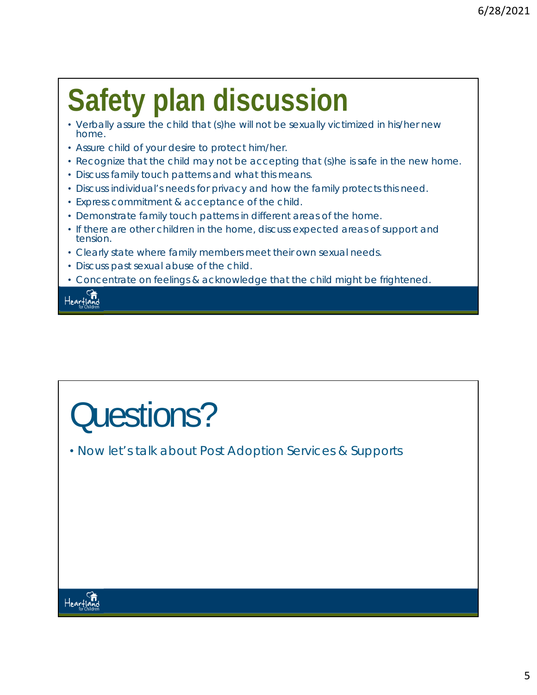# **Safety plan discussion**

- Verbally assure the child that (s)he will not be sexually victimized in his/her new home.
- Assure child of your desire to protect him/her.
- Recognize that the child may not be accepting that (s)he is safe in the new home.
- Discuss family touch patterns and what this means.
- Discuss individual's needs for privacy and how the family protects this need.
- Express commitment & acceptance of the child.
- Demonstrate family touch patterns in different areas of the home.
- If there are other children in the home, discuss expected areas of support and tension.
- Clearly state where family members meet their own sexual needs.
- Discuss past sexual abuse of the child.
- Concentrate on feelings & acknowledge that the child might be frightened.

Hearfland

# Questions?

• Now let's talk about Post Adoption Services & Supports

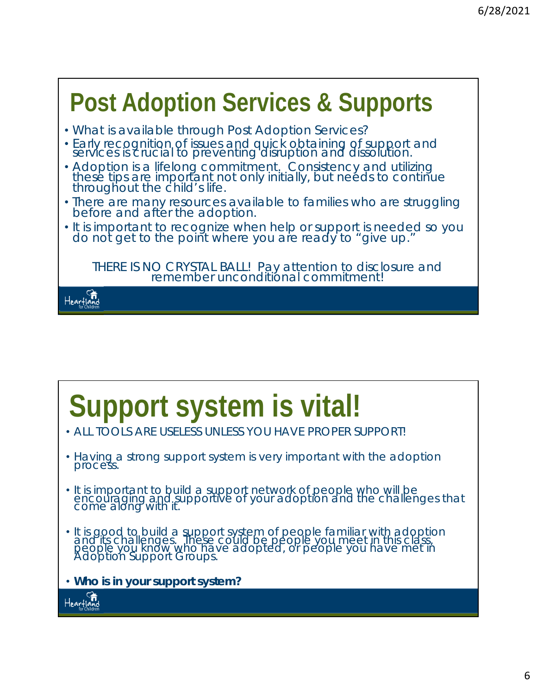### **Post Adoption Services & Supports**

- What is available through Post Adoption Services?
- Early recognition of issues and quick obtaining of support and services is crucial to preventing disruption and dissolution.
- Adoption is a lifelong commitment. Consistency and utilizing<br>these tips are important not only initially, but needs to continue throughout the child's life.
- There are many resources available to families who are struggling before and after the adoption.
- It is important to recognize when help or support is needed so you do not get to the point where you are ready to "give up."

*THERE IS NO CRYSTAL BALL! Pay attention to disclosure and remember unconditional commitment!* 



# **Support system is vital!**

- ALL TOOLS ARE USELESS UNLESS YOU HAVE PROPER SUPPORT!
- Having a strong support system is very important with the adoption process.
- It is important to build a support network of people who will be encouraging and supportive of your adoption and the challenges that come along with it.
- It is good to build a support system of people familiar with adoption and its challenges. These could be people you meet in this class, people you know who have adopted, or people you have met in Adoption Support Groups.
- *Who is in your support system?*

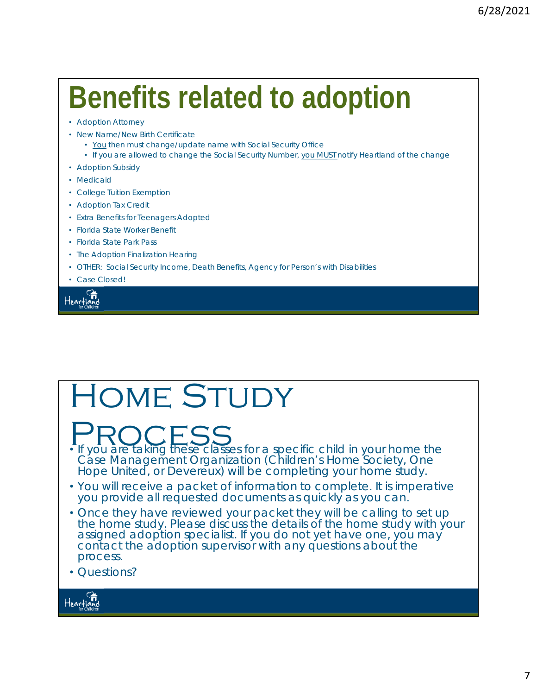# **Benefits related to adoption**

- Adoption Attorney
- New Name/New Birth Certificate
	- You then must change/update name with Social Security Office
	- If you are allowed to change the Social Security Number, you MUST notify Heartland of the change
- Adoption Subsidy
- Medicaid
- College Tuition Exemption
- Adoption Tax Credit
- Extra Benefits for Teenagers Adopted
- Florida State Worker Benefit
- Florida State Park Pass
- The Adoption Finalization Hearing
- OTHER: Social Security Income, Death Benefits, Agency for Person's with Disabilities
- Case Closed!

Heartland

## HOME STUDY

**PROCESS**<br>• If you are taking these classes for a specific child in your home the

Case Management Organization (Children's Home Society, One Hope United, or Devereux) will be completing your home study.

- You will receive a packet of information to complete. It is imperative you provide all requested documents as quickly as you can.
- Once they have reviewed your packet they will be calling to set up the home study. Please discuss the details of the home study with your assigned adoption specialist. If you do not yet have one, you may contact the adoption supervisor with any questions about the process.
- Questions?

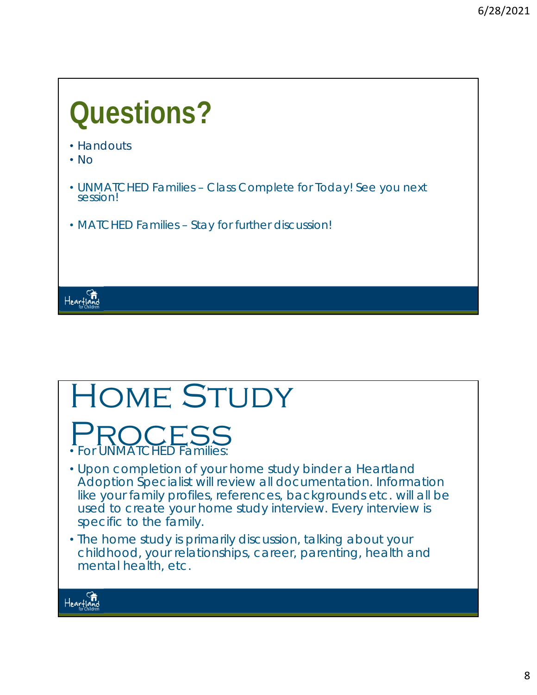### **Questions?**  • Handouts • No • UNMATCHED Families – Class Complete for Today! See you next session! • MATCHED Families – Stay for further discussion! Heartland

### HOME STUDY PROCESS<br>• For UNMATCHED Families: • Upon completion of your home study binder a Heartland Adoption Specialist will review all documentation. Information like your family profiles, references, backgrounds etc. will all be used to create your home study interview. Every interview is specific to the family.

• The home study is primarily discussion, talking about your childhood, your relationships, career, parenting, health and mental health, etc.

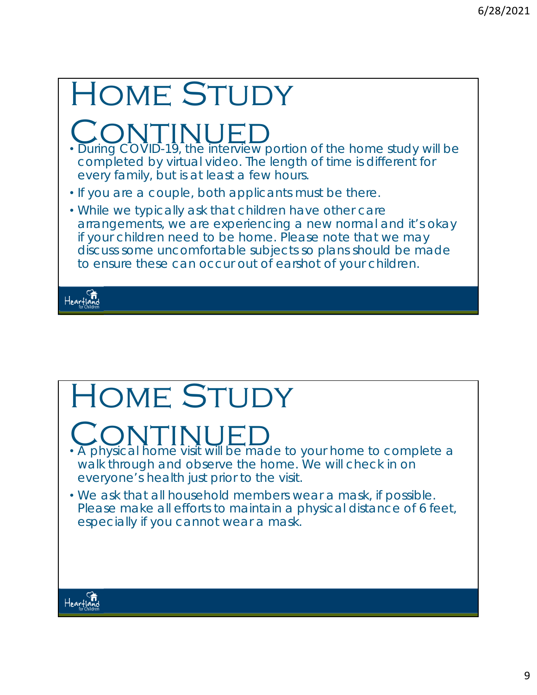| <b>HOME STUDY</b>                                                                                                                                                                                                                                                                                                |
|------------------------------------------------------------------------------------------------------------------------------------------------------------------------------------------------------------------------------------------------------------------------------------------------------------------|
| . During COVID-19, the interview portion of the home study will be<br>completed by virtual video. The length of time is different for<br>every family, but is at least a few hours.                                                                                                                              |
| • If you are a couple, both applicants must be there.                                                                                                                                                                                                                                                            |
| • While we typically ask that children have other care<br>arrangements, we are experiencing a new normal and it's okay<br>if your children need to be home. Please note that we may<br>discuss some uncomfortable subjects so plans should be made<br>to ensure these can occur out of earshot of your children. |
|                                                                                                                                                                                                                                                                                                                  |

# HOME STUDY

# **CONTINUED**<br>• A physical home visit will be made to your home to complete a

- walk through and observe the home. We will check in on everyone's health just prior to the visit.
- We ask that all household members wear a mask, if possible. Please make all efforts to maintain a physical distance of 6 feet, especially if you cannot wear a mask.

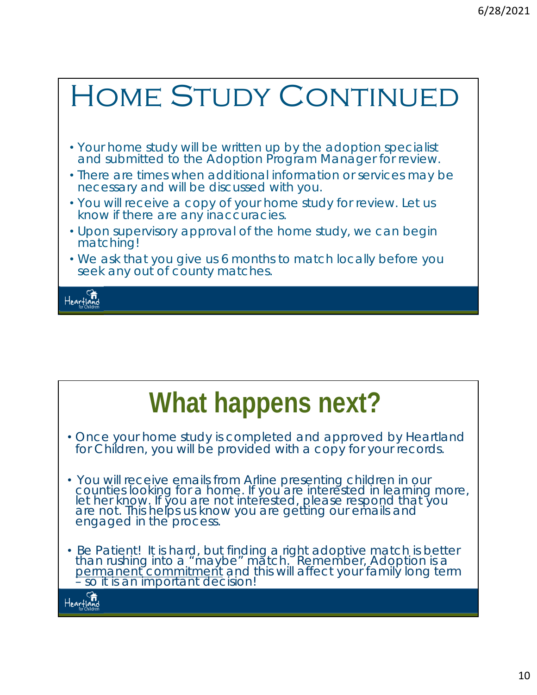### HOME STUDY CONTINUED

- Your home study will be written up by the adoption specialist and submitted to the Adoption Program Manager for review.
- There are times when additional information or services may be necessary and will be discussed with you.
- You will receive a copy of your home study for review. Let us know if there are any inaccuracies.
- Upon supervisory approval of the home study, we can begin matching!
- We ask that you give us 6 months to match locally before you seek any out of county matches.



## **What happens next?**

- Once your home study is completed and approved by Heartland for Children, you will be provided with a copy for your records.
- You will receive emails from Arline presenting children in our counties looking for a home. If you are interested in learning more, let her know. If you are not interested, please respond that you are not. This helps us know you are getting our emails and engaged in the process.
- *Be Patient!* It is hard, but finding a right adoptive match is better than rushing into a "maybe" match. Remember, Adoption is a permanent commitment and this will affect your family long term – so it is an important decision!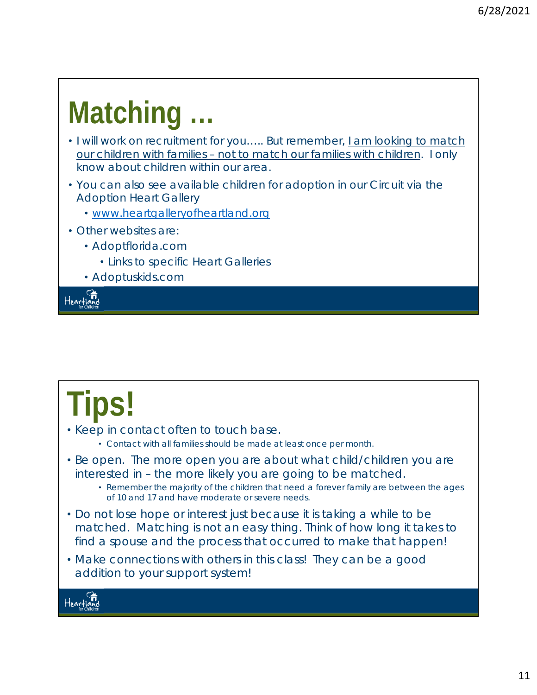# **Matching …**

- I will work on recruitment for you….. But remember, *I am looking to match our children with families – not to match our families with children.* I only know about children within our area.
- You can also see available children for adoption in our Circuit via the Adoption Heart Gallery
	- www.heartgalleryofheartland.org
- Other websites are:
	- Adoptflorida.com
		- Links to specific Heart Galleries
	- Adoptuskids.com

Heartland

# **Tips!**

- Keep in contact often to touch base.
	- Contact with all families should be made at least once per month.
- *Be open*. The more open you are about what child/children you are interested in – the more likely you are going to be matched.
	- Remember the majority of the children that need a forever family are between the ages of 10 and 17 and have moderate or severe needs.
- Do not lose hope or interest just because it is taking a while to be matched. Matching is not an easy thing. Think of how long it takes to find a spouse and the process that occurred to make that happen!
- Make connections with others in this class! They can be a good addition to your support system!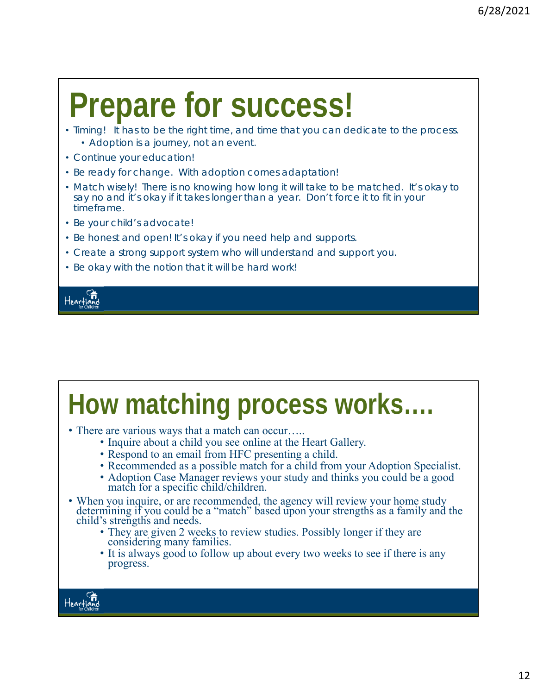# **Prepare for success!**

- Timing! It has to be the right time, and time that you can dedicate to the process. • Adoption is a journey, not an event.
- Continue your education!
- Be ready for change. With adoption comes adaptation!
- Match wisely! There is no knowing how long it will take to be matched. It's okay to say no and it's okay if it takes longer than a year. Don't force it to fit in your timeframe.
- Be your child's advocate!
- Be honest and open! It's okay if you need help and supports.
- Create a strong support system who will understand and support you.
- Be okay with the notion that it will be hard work!



### **How matching process works….**  • There are various ways that a match can occur….. • Inquire about a child you see online at the Heart Gallery. • Respond to an email from HFC presenting a child. • Recommended as a possible match for a child from your Adoption Specialist. • Adoption Case Manager reviews your study and thinks you could be a good match for a specific child/children. • When you inquire, or are recommended, the agency will review your home study determining if you could be a "match" based upon your strengths as a family and the child's strengths and needs. • They are given 2 weeks to review studies. Possibly longer if they are considering many families. • It is always good to follow up about every two weeks to see if there is any progress. Heartig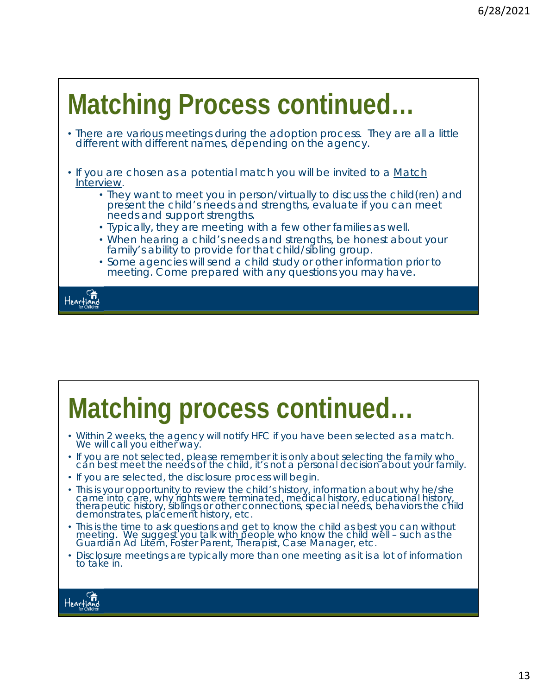### **Matching Process continued…**  • There are various meetings during the adoption process. They are all a little different with different names, depending on the agency. • If you are chosen as a potential match you will be invited to a Match Interview. • They want to meet you in person/virtually to discuss the child(ren) and present the child's needs and strengths, evaluate if you can meet needs and support strengths. • Typically, they are meeting with a few other families as well. • When hearing a child's needs and strengths, be honest about your family's ability to provide for that child/sibling group. • Some agencies will send a child study or other information prior to meeting. Come prepared with any questions you may have. Heartland

# **Matching process continued…**

- Within 2 weeks, the agency will notify HFC if you have been selected as a match. We will call you either way.
- If you are not selected, please remember it is only about selecting the family who cán best meet the needs of the child, it's not a personal decision about your family.
- If you are selected, the disclosure process will begin.
- This is your opportunity to review the child's history, information about why he/she came into care, why rights were terminated, medical history, educational history, therapeutic history, siblings or other connections, special needs, behaviors the child demonstrates, placement history, etc.
- This is the time to ask questions and get to know the child as best you can without meeting. We suggest you talk with people who know the child well – such as the Guardian Ad Litem, Foster Parent, Therapist, Case Manager, etc.
- Disclosure meetings are typically more than one meeting as it is a lot of information to take in.

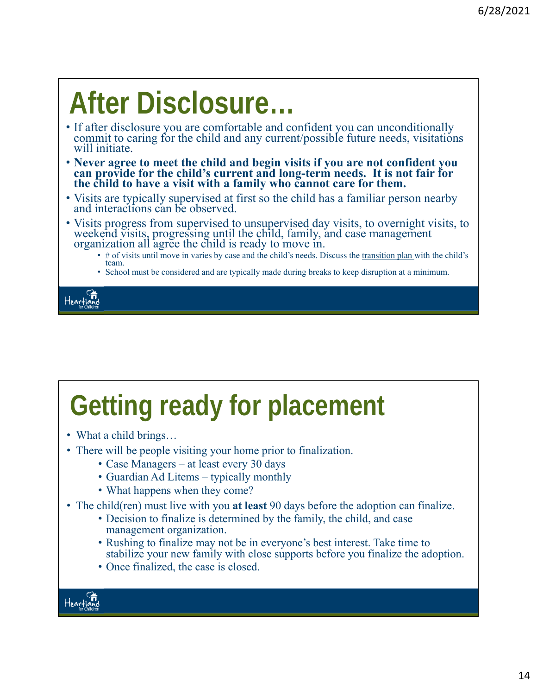# **After Disclosure…**

- If after disclosure you are comfortable and confident you can unconditionally commit to caring for the child and any current/possible future needs, visitations will initiate.
- **Never agree to meet the child and begin visits if you are not confident you can provide for the child's current and long-term needs. It is not fair for the child to have a visit with a family who cannot care for them.**
- Visits are typically supervised at first so the child has a familiar person nearby and interactions can be observed.
- Visits progress from supervised to unsupervised day visits, to overnight visits, to weekend visits, progressing until the child, family, and case management organization all agree the child is ready to move in.
	- # of visits until move in varies by case and the child's needs. Discuss the transition plan with the child's team.
	- School must be considered and are typically made during breaks to keep disruption at a minimum.



# **Getting ready for placement**

- What a child brings...
- There will be people visiting your home prior to finalization.
	- Case Managers at least every 30 days
	- Guardian Ad Litems typically monthly
	- What happens when they come?
- The child(ren) must live with you **at least** 90 days before the adoption can finalize.
	- Decision to finalize is determined by the family, the child, and case management organization.
	- Rushing to finalize may not be in everyone's best interest. Take time to stabilize your new family with close supports before you finalize the adoption.
	- Once finalized, the case is closed.